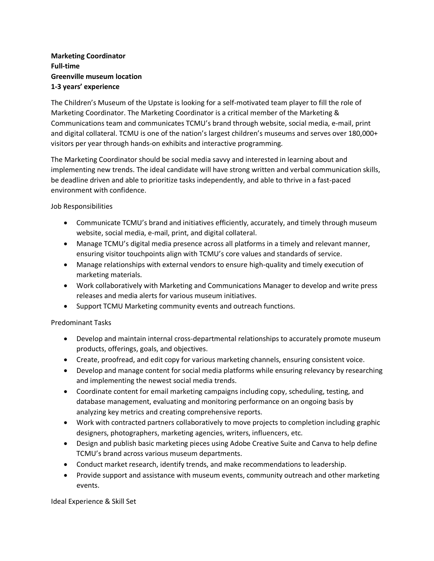## **Marketing Coordinator Full-time Greenville museum location 1-3 years' experience**

The Children's Museum of the Upstate is looking for a self-motivated team player to fill the role of Marketing Coordinator. The Marketing Coordinator is a critical member of the Marketing & Communications team and communicates TCMU's brand through website, social media, e-mail, print and digital collateral. TCMU is one of the nation's largest children's museums and serves over 180,000+ visitors per year through hands-on exhibits and interactive programming.

The Marketing Coordinator should be social media savvy and interested in learning about and implementing new trends. The ideal candidate will have strong written and verbal communication skills, be deadline driven and able to prioritize tasks independently, and able to thrive in a fast-paced environment with confidence.

Job Responsibilities

- Communicate TCMU's brand and initiatives efficiently, accurately, and timely through museum website, social media, e-mail, print, and digital collateral.
- Manage TCMU's digital media presence across all platforms in a timely and relevant manner, ensuring visitor touchpoints align with TCMU's core values and standards of service.
- Manage relationships with external vendors to ensure high-quality and timely execution of marketing materials.
- Work collaboratively with Marketing and Communications Manager to develop and write press releases and media alerts for various museum initiatives.
- Support TCMU Marketing community events and outreach functions.

Predominant Tasks

- Develop and maintain internal cross-departmental relationships to accurately promote museum products, offerings, goals, and objectives.
- Create, proofread, and edit copy for various marketing channels, ensuring consistent voice.
- Develop and manage content for social media platforms while ensuring relevancy by researching and implementing the newest social media trends.
- Coordinate content for email marketing campaigns including copy, scheduling, testing, and database management, evaluating and monitoring performance on an ongoing basis by analyzing key metrics and creating comprehensive reports.
- Work with contracted partners collaboratively to move projects to completion including graphic designers, photographers, marketing agencies, writers, influencers, etc.
- Design and publish basic marketing pieces using Adobe Creative Suite and Canva to help define TCMU's brand across various museum departments.
- Conduct market research, identify trends, and make recommendations to leadership.
- Provide support and assistance with museum events, community outreach and other marketing events.

Ideal Experience & Skill Set